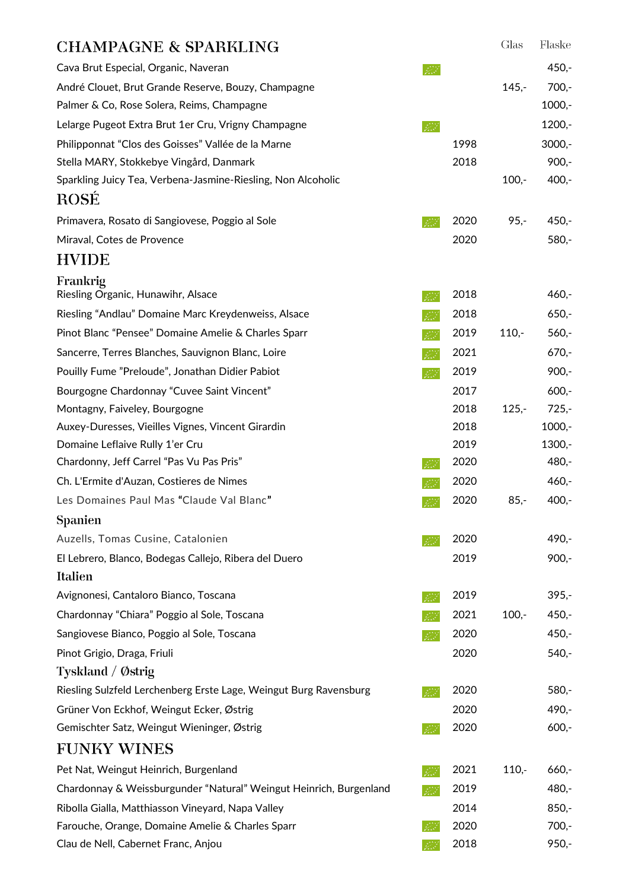| <b>CHAMPAGNE &amp; SPARKLING</b>                                   |        |      | Glas    | Flaske   |
|--------------------------------------------------------------------|--------|------|---------|----------|
| Cava Brut Especial, Organic, Naveran                               | F.F    |      |         | $450,-$  |
| André Clouet, Brut Grande Reserve, Bouzy, Champagne                |        |      | $145,-$ | $700 -$  |
| Palmer & Co, Rose Solera, Reims, Champagne                         |        |      |         | $1000,-$ |
| Lelarge Pugeot Extra Brut 1er Cru, Vrigny Champagne                | B.     |      |         | $1200,-$ |
| Philipponnat "Clos des Goisses" Vallée de la Marne                 |        | 1998 |         | $3000,-$ |
| Stella MARY, Stokkebye Vingård, Danmark                            |        | 2018 |         | $900,-$  |
| Sparkling Juicy Tea, Verbena-Jasmine-Riesling, Non Alcoholic       |        |      | $100,-$ | $400,-$  |
| <b>ROSE</b>                                                        |        |      |         |          |
| Primavera, Rosato di Sangiovese, Poggio al Sole                    | BS.    | 2020 | $95, -$ | $450,-$  |
| Miraval, Cotes de Provence                                         |        | 2020 |         | $580 -$  |
| <b>HVIDE</b>                                                       |        |      |         |          |
| Frankrig                                                           |        |      |         |          |
| Riesling Organic, Hunawihr, Alsace                                 | 42     | 2018 |         | $460,-$  |
| Riesling "Andlau" Domaine Marc Kreydenweiss, Alsace                | - 12   | 2018 |         | $650 -$  |
| Pinot Blanc "Pensee" Domaine Amelie & Charles Sparr                | - 17 F | 2019 | $110,-$ | $560,-$  |
| Sancerre, Terres Blanches, Sauvignon Blanc, Loire                  | B.F    | 2021 |         | $670,-$  |
| Pouilly Fume "Preloude", Jonathan Didier Pabiot                    | B.     | 2019 |         | $900,-$  |
| Bourgogne Chardonnay "Cuvee Saint Vincent"                         |        | 2017 |         | $600 -$  |
| Montagny, Faiveley, Bourgogne                                      |        | 2018 | $125 -$ | $725,-$  |
| Auxey-Duresses, Vieilles Vignes, Vincent Girardin                  |        | 2018 |         | $1000,-$ |
| Domaine Leflaive Rully 1'er Cru                                    |        | 2019 |         | $1300,-$ |
| Chardonny, Jeff Carrel "Pas Vu Pas Pris"                           |        | 2020 |         | 480,-    |
| Ch. L'Ermite d'Auzan, Costieres de Nimes                           |        | 2020 |         | $460 -$  |
| Les Domaines Paul Mas "Claude Val Blanc"                           |        | 2020 | $85, -$ | $400,-$  |
| <b>Spanien</b>                                                     |        |      |         |          |
| Auzells, Tomas Cusine, Catalonien                                  | V.F    | 2020 |         | 490,-    |
| El Lebrero, Blanco, Bodegas Callejo, Ribera del Duero              |        | 2019 |         | $900,-$  |
| Italien                                                            |        |      |         |          |
| Avignonesi, Cantaloro Bianco, Toscana                              | B.     | 2019 |         | $395,-$  |
| Chardonnay "Chiara" Poggio al Sole, Toscana                        |        | 2021 | $100,-$ | $450,-$  |
| Sangiovese Bianco, Poggio al Sole, Toscana                         | B.     | 2020 |         | $450,-$  |
| Pinot Grigio, Draga, Friuli                                        |        | 2020 |         | $540,-$  |
| Tyskland / Østrig                                                  |        |      |         |          |
| Riesling Sulzfeld Lerchenberg Erste Lage, Weingut Burg Ravensburg  | BS.    | 2020 |         | $580 -$  |
| Grüner Von Eckhof, Weingut Ecker, Østrig                           |        | 2020 |         | 490,-    |
| Gemischter Satz, Weingut Wieninger, Østrig                         |        | 2020 |         | $600 -$  |
| <b>FUNKY WINES</b>                                                 |        |      |         |          |
| Pet Nat, Weingut Heinrich, Burgenland                              |        | 2021 | $110,-$ | $660 -$  |
| Chardonnay & Weissburgunder "Natural" Weingut Heinrich, Burgenland | P.F    | 2019 |         | 480,-    |
| Ribolla Gialla, Matthiasson Vineyard, Napa Valley                  |        | 2014 |         | $850,-$  |
| Farouche, Orange, Domaine Amelie & Charles Sparr                   |        | 2020 |         | $700,-$  |
| Clau de Nell, Cabernet Franc, Anjou                                |        | 2018 |         | $950 -$  |